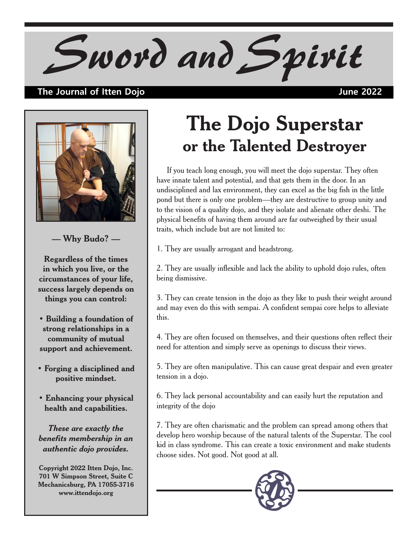## *Sword and Spirit*

## **The Journal of Itten Dojo June 2022**



**— Why Budo? —**

**Regardless of the times in which you live, or the circumstances of your life, success largely depends on things you can control:**

**• Building a foundation of strong relationships in a community of mutual support and achievement.**

- **Forging a disciplined and positive mindset.**
- **Enhancing your physical health and capabilities.**

*These are exactly the benefits membership in an authentic dojo provides.*

**Copyright 2022 Itten Dojo, Inc. 701 W Simpson Street, Suite C Mechanicsburg, PA 17055-3716 www.ittendojo.org**

## **The Dojo Superstar or the Talented Destroyer**

 If you teach long enough, you will meet the dojo superstar. They often have innate talent and potential, and that gets them in the door. In an undisciplined and lax environment, they can excel as the big fish in the little pond but there is only one problem—they are destructive to group unity and to the vision of a quality dojo, and they isolate and alienate other deshi. The physical benefits of having them around are far outweighed by their usual traits, which include but are not limited to:

1. They are usually arrogant and headstrong.

2. They are usually inflexible and lack the ability to uphold dojo rules, often being dismissive.

3. They can create tension in the dojo as they like to push their weight around and may even do this with sempai. A confident sempai core helps to alleviate this.

4. They are often focused on themselves, and their questions often reflect their need for attention and simply serve as openings to discuss their views.

5. They are often manipulative. This can cause great despair and even greater tension in a dojo.

6. They lack personal accountability and can easily hurt the reputation and integrity of the dojo

7. They are often charismatic and the problem can spread among others that develop hero worship because of the natural talents of the Superstar. The cool kid in class syndrome. This can create a toxic environment and make students choose sides. Not good. Not good at all.